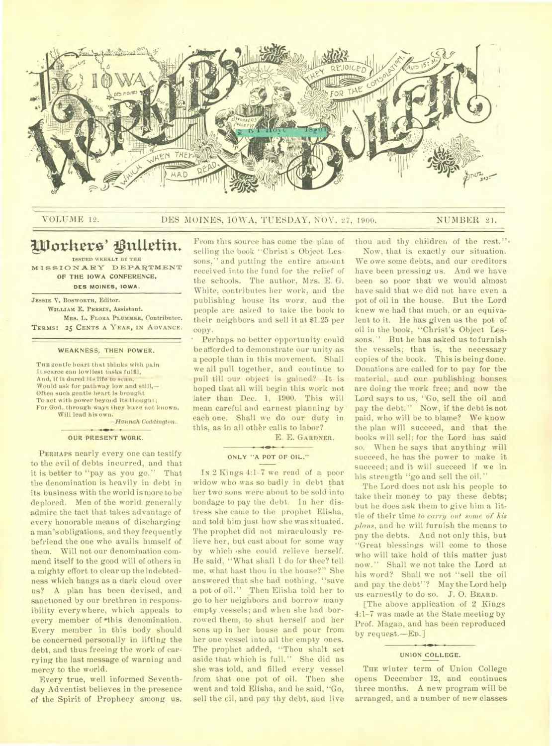

## VOLUME 12. DES MOINES, IOWA, TUESDAY, NOV. 27, 1900. NUMBER 21.

# Workers' Bulletin. ISSUED WEEKLY BY THE

**MISSIONARY DEPARTMENT**  OF THE IOWA CONFERENCE, **DES MOINES, IOWA.** 

JESSIE V. BOSWORTH, Editor. WILLIAM E. PERRIN, Assistant. MRS. L. FLORA PLUMMER, Contributor. TERMS: 25 CENTS A YEAR, IN ADVANCE.

## **WEAKNESS; THEN POWER.**

THE gentle heart that thinks with pain It scarce can lowliest tasks fulfil. And, if it dared its life to scan, Would ask for pathway low and still,— Often such gentle heart is brought To act with power beyond its thought; For God, through ways they have not known, Will lead his own.

*—Hannah Coddtngton.* 

#### **OUR PRESENT WORK.**

PERHAPS nearly every one can testify to the evil of debts incurred, and that it is better to "pay as you go." That the denomination is heavily in debt in its business with the world is more to be deplored. Men of the world generally admire the tact that takes advantage of every honorable means of discharging a man's obligations, and they frequently befriend the one who avails himself of them. Will not our denomination commend itself to the good will of others in a mighty effort to clear up the indebtedness which hangs as a dark cloud over us? A plan has been devised, and sanctioned by our brethren in responsibility everywhere, which appeals to every member of this denomination. Every member in this body should be concerned personally in lifting the debt, and thus freeing the work of carrying the last message of warning and mercy to the world.

Every true, well informed Seventhday Adventist believes in the presence of the Spirit of Prophecy among us.

From this source has come the plan of selling the book "Christ's Object Lessons," and putting the entire amount received into the fund for the relief of the schools. The author, Mrs. E. G. White, contributes her work, and the publishing house its work, and the people are asked to take the book to their neighbors and sell it at \$1.25 per copy.

Perhaps no better opportunity could be afforded to demonstrate our unity as a people than in this movement. Shall we all pull together, and continue to pull till our object is gained? It is hoped that all will begin this work not later than Dec. 1, 1900. This will mean careful and earnest planning by' each one. Shall we do our duty in this, as in all other calls to labor? E. E. GARDNER.

#### **ONLY "A POT OF OIL."**

IN 2 Kings 4:1-7 we read of a poor widow who was so badly in debt that her two suns were about to be sold into bondage to pay the debt. In her distress she came to the prophet Elisha, and told him just how she was situated. The prophet did not miraculously relieve her, but cast about for some way by which she could relieve herself. He said, "What shall I do for thee? tell me, what hast thou in the house?" She answered that she had nothing, "save a pot of oil." Then Elisha told her to go to her neighbors and borrow many empty vessels; and when she had borrowed them, to shut herself and her sons up in her house and pour from her one vessel into all the empty ones. The prophet added, "Thou shalt set aside that which is full." She did as she was told, and filled every vessel from that one pot of oil. Then she went and told Elisha, and he said, "Go, sell the oil, and pay thy debt, and live

Now, that is exactly our situation. We owe some debts, and our creditors have been pressing us. And we have been so poor that we would almost have said that we did not have even a pot of oil in the house. But the Lord knew we had that much, or an equivalent to it. He has given us the pot of oil in the book, "Christ's Object Lessons." But he has asked us to furnish the vessels; that is, the necessary copies of the book. This is being done. Donations are called for to pay for the material, and our publishing houses are doing the work free; and now the Lord says to us, "Go, sell the oil and pay the debt." Now, if the debt is not paid, who will be to blame? We know the plan will succeed, and that the books will sell; for the Lord has said so. When he says that anything will succeed, he has the power to make it succeed; and it will succeed if we in his strength "go and sell the oil."

thou and thy children of the rest."-

The Lord does not ask his people to take their money to pay these debts; but he does ask them to give him a little of their time to carry out *some of his plans,* and he will furnish the means to pay the debts. And not only this, but "Great blessings will come to those who will take hold of this matter just now." Shall we not take the Lord at his word? Shall we not "sell the oil and pay the debt"? May the Lord help us earnestly to do so. J. 0. BEARD.

[The above application of 2 Kings 4:1-7 was made at the State meeting by Prof. Magan, and has been reproduced by request.—En.]

#### **UNION COLLEGE.**

THE winter term of Union College opens December 12, and continues three months. A new program will be arranged, and a number of new classes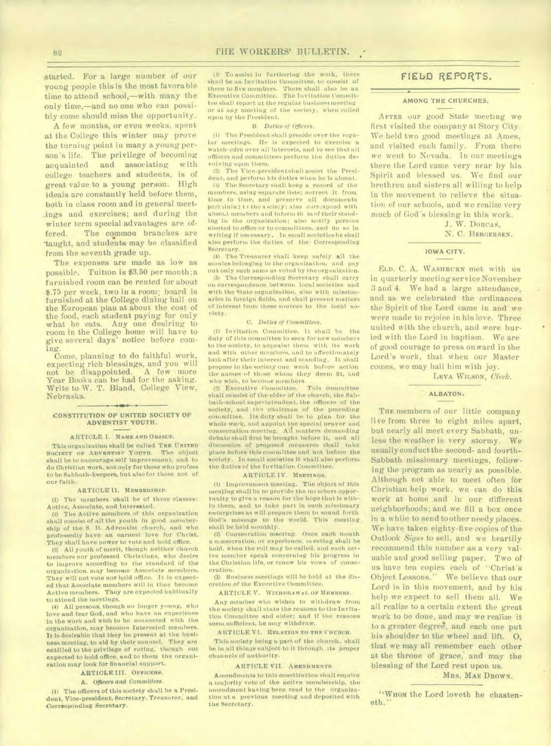started. For a large number of our young people this is the most favorable time to attend school,—with many the only time,—and no one who can possibly come should miss the opportunity.

A few months, or even weeks, spent at the College this winter may prove the turning point in many a young person's life. The privilege of becoming acquainted and associating with college teachers and students, is of great value to a young person. High ideals are constantly held before them, both in class room and in general meetings and exercises; and during the winter term special advantages are offered. The common branches are taught, and students may be classified from the seventh grade up.

The expenses are made as low as possible. Tuition is \$3.50 per month; a furnished room can be rented for about \$.75 per week, two in a room; board is furnished at the College dining hall on *the* European plan at about the cost of the food, each student paying for only what he eats. Any one desiring to room in the College home will have to give several days' notice before coming.

Come, planning to do faithful work, expecting rich blessings, and you will<br>not be disappointed. A few more not be disappointed. Year Books can be had for the asking. Write to W. T. Bland, College View, Nebraska.

#### CONSTITUTION OF UNITED SOCIETY OF ADVENTIST YOUTH.

#### ARTICLE I. **NAME AND OBJECT.**

This organization shall be called Tug UNITED outers or Apyentust Yourn. The object SOCIETY OF ADVENTIST YOUTH. shall be to encourage self improvement, and to do Christian work, notoyly for those who profess to be Sabbath-keepers, but also for those not of our faith.

#### ARTICLE II. **MEMBERSHIP.**

(1) The members shall be of three classes: Active, Associate, and Interested.

(2) The Active members of this organization shall consist of all the youth in good membership of the S. **D.** Adventist church, and who professedly have an earnest love for Christ. They shall have power to vote and hold office.

All youth of merit, though neither church members nor professed Christians, who desire to improve according to the standard of the organization. may become Associate members. They will not vote nor hold office. It is expected that Associate members will in time become Active members. They are expected habitually to attend the meetings.

(4) All persons, though no longer young, who love and fear God, and who have an experience in the work and wish to be connected with the organization, may become Interested members. It is desirable that they be present at the business meeting, to aid by their counsel. They are entitled to the privilege of voting, though not expected to hold office, and to them the organization may look for financial support.

## ARTICLE **III. OFFICERS.**

#### A. Officers *end Committees.*

(1) The officers of this society shall be a President, Vice-president, Secretary, Treasurer, and Corresponding Secretary.

(2) To assist in furthering the work, there shall be an Invitation Committee. to consist of three to five members. There shall also be an Executive Committee. The Invitation Committee shall report at the regular business meeting or at any meeting of the society. when called upon by the President.

#### B. *Duties of Officers.*

(I) The President shall preside over the regular meetings. He is expected to exercise a watch-citre over all interests, and to see that all officers and committees perform the duties devolving upon them.

(2) The Vice-presidentshall assist the President, and perform his duties when he is absent. (3) The Secretary shall keep a record of the members, using separate lists; correct it from time to time, and preserve all documents pert tining to the society; also correspond with absent members and inform th mot their standing in the organization; also notify persons elected to office or to committees, and do so in writing if necessary. In small societies he shall also perform the duties of the Corresponding Secretary.

(4) The Treasurer shall keep safely all the monies belonging to the organization, and pay out only such sums as voted by the organization.

(5) The Corresponding Secretary shall carry on correspondence between local societies and with the State organization, also with missionaries in foreign fields, and shall present matters of interest from these sources to the local society.

#### C. *Duties of Committees.*

(I) Invitation Committee. It shall be the duty of this committee to seek for new members to the society, to acquaint them with Its work and with other members, and to affectionately look after their interest and standing. It shall propose to the society one week before action the names of those whom they deem fit, and who wish, to become members.<br>(2) Executive Committee. This committee

Executive Committee. shall consist of the elder of the church, the Sabbath-school superintendent. the officers of the society, and the chairman of the preceding committee. Its duty shall be to plan for the whole work, and appoint the special prayer and consecration meeting. Alt matters demanding debate shall first be brought before It, and all discussion of proposed measures shall take place before this committee and not before the society. In small societies it shall also perform the duties of the Invitation Committee.

#### ARTICLE IV. MEETINGS.

**(I)** Improvement meeting. The object of this meeting shall be to provide the members opportunity to give a reason for the hope that is within them, and to take part in such missionary enterprises as will prepare them to sound forth God's message to the world. This meeting shall be held monthly.

(2l Consecration meeting. Once eaoh month a consecration, or experience. m eating shall be held. When the roll may be called, and each active member speak concerning his progress in the Christian life, or renew his vows of consecration.

(3) Business meetings will be held at the discretion of the Executive Committee.

ARTICLE V. **WITHDRAWAL OF MEMBERS.** 

Any member who wishes to withdraw from the society shall state the reasons to the Invitation Committee and elder; and if the reasons seem sufficient. he may withdraw.

A RTICLE **VI. RELATION TO THE CHURCH.** 

This society being a part of the church, shall be in all things subject to it through its proper channels of authority.

#### ARTICLE VII. **AMENDMENTS.**

Amendments to this constitution shall require a majority vote of the active membership, the amendment having been read to the organization at a previous meeting and deposited with the Secretary.

# FIELD REPORTS.

## AMONG THE CHURCHES.

AFTER our good State meeting we first visited the company at Story City. We held two good meetings at Ames, and visited each family. From there we went to Nevada. In our meetings there the Lord came very near by his Spirit and blessed us. We find our brethren and sisters all willing to help in the movement to relieve the situation of our schools, and we realize very much of God's blessing in this work.

> J. W. DORCAS, N. C. BERGERSEN.

#### IOWA CITY.

ELD. C. A. WASHBURN met with us in quarterly meeting service November 3 and 4. We had a large attendance, and as we celebrated the ordinances the Spirit of the Lord came in and' we were made to rejoice in his love. Three united with the church, and were buried with the Lord in baptism. We are of good courage to press onward in the Lord's work, that when our Master comes, we may hail him with joy.

LEVA WILSON, *Clerk.* 

## ALBATON.

**THE** members of our little company live from three to eight miles apart, but nearly all meet every Sabbath, unless the weather is very stormy. We usually conduct the second- and fourth-Sabbath missionary meetings, following the program as nearly as possible. Although not able to meet often for Christian help work, we can do this work at home and in our different neighborhoods; and we fill a box once in a while to send to other needy places. We have taken eighty-five copies of the Outlook *Signs* to sell, and we heartily recommend this number as a very valuable and good selling paper. Two of us have ten copies each of "Christ's Object Lessons." We believe that our Lord is in this movement, and by his help we expect to sell them all. We all realize to a certain extent the great work to be done, and may we realize it to a greater degree, and each one put his shoulder to the wheel and lift. 0, that we may all remember each other at the throne of grace, and may the blessing of the Lord rest upon us.

## MRS. MAE DROWN.

"WHOM the Lord loveth he chasteneth.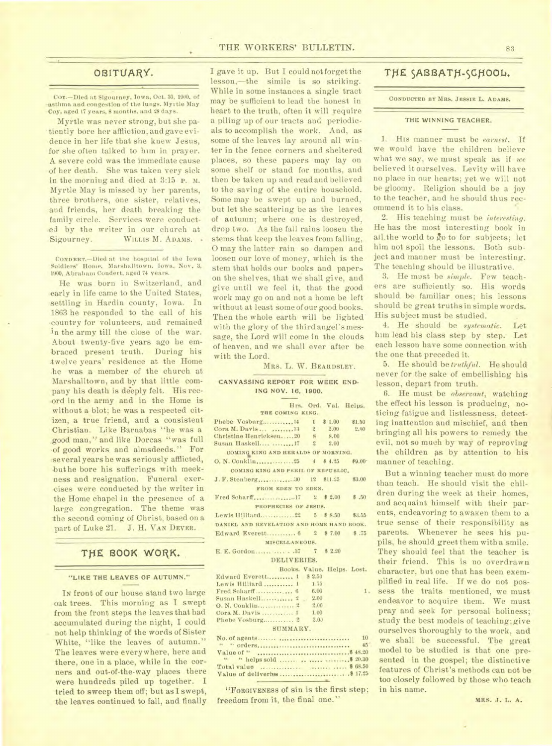## **OBITUARY.**

COY.-Died at Sigourney, Iowa, Oct. 30, 1900. of asthma and congestion of the lungs. Myrtle May •Coy, aged 17 years, 8 months, and 28 days.

Myrtle was never strong, but she pa tiently bore her affliction, and gave evidence in her life that she knew Jesus, for she often talked to him in prayer. A severe cold was the immediate cause •of her death. She was taken very sick in the morning and died at 3:15 P. M. Myrtle May is missed by her parents, three brothers, one sister, relatives, and friends, her death breaking the family circle. Services were conducted by the writer in our church at Sigourney. WILLIS M. ADAMS.

**CONDERT.-Died** at the hospital of the Iowa Soldiers' Home, Marshalltown, Iowa, Nov. 3, 1900, Abraham Condert, aged 74 years.

He was born in Switzerland, and early in life came to the United States, settling in Hardin county, Iowa. In 1863 he responded to the call of his country for volunteers, and remained in the army till the close of the war. About twenty-five years ago he embraced present truth. During his twelve years' residence at the Home .he was a member of the church at Marshalltown, and by that little company his death is deeply felt. His rec ord in the army and in the Home is without a blot; he was a respected citizen, a true friend, and a consistent Christian. Like Barnabas "he was a good man," and like Dorcas "was full of good works and almsdeeds." For several years he was seriously afflicted, buthe bore his sufferings with meekness and resignation. Funeral exercises were conducted by the writer in the Home chapel in the presence of a large congregation. The theme was the second coming of Christ, based on a part of Luke 21. J. H. VAN DEVER.

# THE BOOK WORK.

#### "LIKE THE LEAVES OF AUTUMN."

IN front of our house stand two large oak trees. This morning as I swept from the front steps the leaves that had accumulated during the night, I could not help thinking of the words of Sister White, "like the leaves of autumn." The leaves were everywhere, here and there, one in a place, while in the corners and out-of-the-way places there were hundreds piled up together. I tried to sweep them off; but as I swept, the leaves continued to fall, and finally

I gave it up. But I could notforget the lesson,—the simile is so striking. While in some instances a single tract may be sufficient to lead the honest in heart to the truth, often it will require a piling up of our tracts and periodicals to accomplish the work. Aud, as some of the leaves lay around all winter in the fence corners and sheltered places, so these papers may lay on some shelf or stand for months, and then be taken up and read and believed to the saving of the entire household. Some may be swept up and burned, but let the scattering be as the leaves of autumn; where one is destroyed, drop two. As the fall rains loosen the stems that keep the leaves from falling, O may the latter rain so dampen and loosen our love of money, which is the stem that holds our books and papers on the shelves, that we shall give, and give until we feel it, that the good work may go on and not a home be left without at least some of our good books. Then the whole earth will be lighted with the glory of the third angel's message, the Lord will come in the clouds of heaven, and we shall ever after be with the Lord.

#### MRS. L. W. BEARDSLEY.

#### CANVASSING REPORT FOR WEEK END-ING NOV. 16, 1900.

| Hrs. Ord. Val. Helps.<br>THE COMING KING.<br>Phebe Vosburg 14 1 \$ 1.00<br>\$1.50<br>Cora M. Davis  13 2 2.00<br>2.00<br>Christine Henricksen20 8 8.00 |  |  |  |  |  |  |  |
|--------------------------------------------------------------------------------------------------------------------------------------------------------|--|--|--|--|--|--|--|
|                                                                                                                                                        |  |  |  |  |  |  |  |
|                                                                                                                                                        |  |  |  |  |  |  |  |
|                                                                                                                                                        |  |  |  |  |  |  |  |
|                                                                                                                                                        |  |  |  |  |  |  |  |
|                                                                                                                                                        |  |  |  |  |  |  |  |
| Susan Haskell  17 2 2.00                                                                                                                               |  |  |  |  |  |  |  |
| COMING KING AND HERALDS OF MORNING.                                                                                                                    |  |  |  |  |  |  |  |
|                                                                                                                                                        |  |  |  |  |  |  |  |
| COMING KING AND PERIL OF REPUBLIC.                                                                                                                     |  |  |  |  |  |  |  |
| J. F. Stenberg30 12 \$11.25 \$3.00                                                                                                                     |  |  |  |  |  |  |  |
| FROM EDEN TO EDEN.                                                                                                                                     |  |  |  |  |  |  |  |
|                                                                                                                                                        |  |  |  |  |  |  |  |
| PROPHECIES OF JESUS.                                                                                                                                   |  |  |  |  |  |  |  |
|                                                                                                                                                        |  |  |  |  |  |  |  |
| DANIEL AND REVELATION AND HOME HAND BOOK.                                                                                                              |  |  |  |  |  |  |  |
| Edward Everett 6 2 \$7.00 \$.75                                                                                                                        |  |  |  |  |  |  |  |
| MISCELLANEOUS.                                                                                                                                         |  |  |  |  |  |  |  |
|                                                                                                                                                        |  |  |  |  |  |  |  |
| DELIVERIES.                                                                                                                                            |  |  |  |  |  |  |  |
| Books, Value, Helps, Lost,                                                                                                                             |  |  |  |  |  |  |  |
| Edward Everett 1 \$ 2.50                                                                                                                               |  |  |  |  |  |  |  |
| Lewis Hilliard  1 1.75                                                                                                                                 |  |  |  |  |  |  |  |
| 1.                                                                                                                                                     |  |  |  |  |  |  |  |
| Susan Haskell 2 2.00                                                                                                                                   |  |  |  |  |  |  |  |
| 2.00                                                                                                                                                   |  |  |  |  |  |  |  |
| Cora M. Davis  1 1.00                                                                                                                                  |  |  |  |  |  |  |  |
| Phebe Vosburg $2 \quad 2.0$                                                                                                                            |  |  |  |  |  |  |  |
| SUMMARY,                                                                                                                                               |  |  |  |  |  |  |  |
| 10                                                                                                                                                     |  |  |  |  |  |  |  |
| 45 <sup>2</sup>                                                                                                                                        |  |  |  |  |  |  |  |

|  |  |  |  | $45^{\circ}$ |
|--|--|--|--|--------------|
|  |  |  |  |              |
|  |  |  |  |              |
|  |  |  |  |              |
|  |  |  |  |              |
|  |  |  |  |              |

"FORGIVENESS of sin is the first step; freedom from it, the final one."

**THE SABBATH-SCHOOL.** 

**CONDUCTED BY MRS. JESSIE** L. **ADAMS.** 

## **THE WINNING TEACHER.**

1. His manner must be *earnest.* If we would have the children believe what we say, we must speak as if *we*  believed it ourselves. Levity will have no place in our hearts; yet we will not be gloomy. Religion should be a joy to the teacher, and he should thus recommend it to his class.

2. His teaching must be *interesting.*  He has the most interesting book in all, the world to go to for subjects; let him not spoil the lessons. Both subject and manner must be interesting. The teaching should be illustrative.

3. He must be *simple.* Few teachers are sufficiently so. His words should be familiar ones; his lessons should be great truths in simple words. His subject must be studied.

4. He should be *systematic.* Let him lead his class step by step. Let each lesson have some connection with the one that preceded it.

5. He should be *truthful.* He should never for the sake of embellishing his lesson, depart from truth.

6. He must be *observant,* watching the effect his lesson is producing, noticing fatigue and listlessness, detecting inattention and mischief, and then bringing all his powers to remedy the evil, not so much by way of reproving the children as by attention to his manner of teaching.

But a winning teacher must do more than teach. He should visit the children during the week at their homes, and acquaint himself with their parents, endeavoring to awaken them to a true sense of their responsibility as parents. Whenever he sees his pupils, he should greet them with a smile. They should feel that the teacher is their friend. This is no overdrawn character, but one that has been exemplified in real life. If we do not possess the traits mentioned, we must endeavor to acquire them. We must pray and seek for personal holiness; study the best models of teaching; give ourselves thoroughly to the work, and we shall be successful. The great model to be studied is that one presented in the gospel; the distinctive features of Christ's methods can not be too closely followed by those who teach in his name.